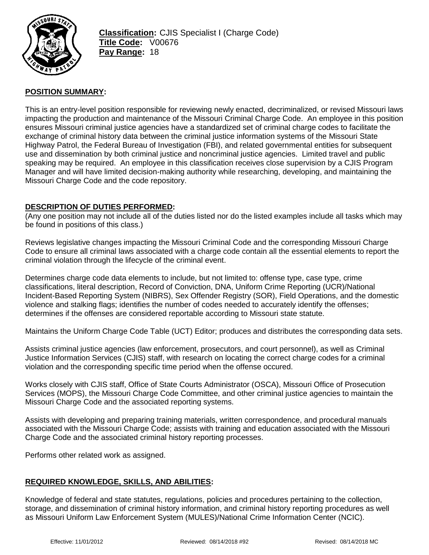

# **POSITION SUMMARY:**

This is an entry-level position responsible for reviewing newly enacted, decriminalized, or revised Missouri laws impacting the production and maintenance of the Missouri Criminal Charge Code. An employee in this position ensures Missouri criminal justice agencies have a standardized set of criminal charge codes to facilitate the exchange of criminal history data between the criminal justice information systems of the Missouri State Highway Patrol, the Federal Bureau of Investigation (FBI), and related governmental entities for subsequent use and dissemination by both criminal justice and noncriminal justice agencies. Limited travel and public speaking may be required. An employee in this classification receives close supervision by a CJIS Program Manager and will have limited decision-making authority while researching, developing, and maintaining the Missouri Charge Code and the code repository.

### **DESCRIPTION OF DUTIES PERFORMED:**

(Any one position may not include all of the duties listed nor do the listed examples include all tasks which may be found in positions of this class.)

Reviews legislative changes impacting the Missouri Criminal Code and the corresponding Missouri Charge Code to ensure all criminal laws associated with a charge code contain all the essential elements to report the criminal violation through the lifecycle of the criminal event.

Determines charge code data elements to include, but not limited to: offense type, case type, crime classifications, literal description, Record of Conviction, DNA, Uniform Crime Reporting (UCR)/National Incident-Based Reporting System (NIBRS), Sex Offender Registry (SOR), Field Operations, and the domestic violence and stalking flags; identifies the number of codes needed to accurately identify the offenses; determines if the offenses are considered reportable according to Missouri state statute.

Maintains the Uniform Charge Code Table (UCT) Editor; produces and distributes the corresponding data sets.

Assists criminal justice agencies (law enforcement, prosecutors, and court personnel), as well as Criminal Justice Information Services (CJIS) staff, with research on locating the correct charge codes for a criminal violation and the corresponding specific time period when the offense occured.

Works closely with CJIS staff, Office of State Courts Administrator (OSCA), Missouri Office of Prosecution Services (MOPS), the Missouri Charge Code Committee, and other criminal justice agencies to maintain the Missouri Charge Code and the associated reporting systems.

Assists with developing and preparing training materials, written correspondence, and procedural manuals associated with the Missouri Charge Code; assists with training and education associated with the Missouri Charge Code and the associated criminal history reporting processes.

Performs other related work as assigned.

## **REQUIRED KNOWLEDGE, SKILLS, AND ABILITIES:**

Knowledge of federal and state statutes, regulations, policies and procedures pertaining to the collection, storage, and dissemination of criminal history information, and criminal history reporting procedures as well as Missouri Uniform Law Enforcement System (MULES)/National Crime Information Center (NCIC).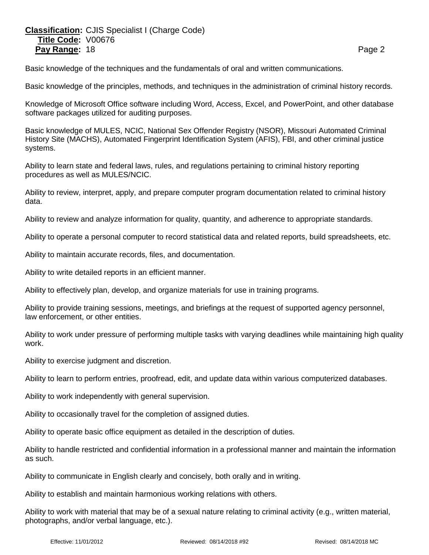# **Classification:** CJIS Specialist I (Charge Code) **Title Code:** V00676 **Pay Range:** 18 **Page 2 Page 2 Page 2 Page 2 Page 2**

Basic knowledge of the techniques and the fundamentals of oral and written communications.

Basic knowledge of the principles, methods, and techniques in the administration of criminal history records.

Knowledge of Microsoft Office software including Word, Access, Excel, and PowerPoint, and other database software packages utilized for auditing purposes.

Basic knowledge of MULES, NCIC, National Sex Offender Registry (NSOR), Missouri Automated Criminal History Site (MACHS), Automated Fingerprint Identification System (AFIS), FBI, and other criminal justice systems.

Ability to learn state and federal laws, rules, and regulations pertaining to criminal history reporting procedures as well as MULES/NCIC.

Ability to review, interpret, apply, and prepare computer program documentation related to criminal history data.

Ability to review and analyze information for quality, quantity, and adherence to appropriate standards.

Ability to operate a personal computer to record statistical data and related reports, build spreadsheets, etc.

Ability to maintain accurate records, files, and documentation.

Ability to write detailed reports in an efficient manner.

Ability to effectively plan, develop, and organize materials for use in training programs.

Ability to provide training sessions, meetings, and briefings at the request of supported agency personnel, law enforcement, or other entities.

Ability to work under pressure of performing multiple tasks with varying deadlines while maintaining high quality work.

Ability to exercise judgment and discretion.

Ability to learn to perform entries, proofread, edit, and update data within various computerized databases.

Ability to work independently with general supervision.

Ability to occasionally travel for the completion of assigned duties.

Ability to operate basic office equipment as detailed in the description of duties.

Ability to handle restricted and confidential information in a professional manner and maintain the information as such.

Ability to communicate in English clearly and concisely, both orally and in writing.

Ability to establish and maintain harmonious working relations with others.

Ability to work with material that may be of a sexual nature relating to criminal activity (e.g., written material, photographs, and/or verbal language, etc.).